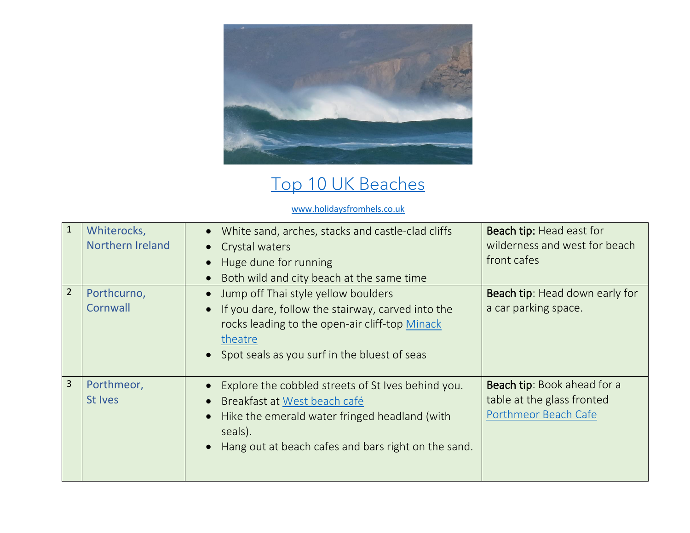

## [Top 10 UK Beaches](https://www.holidaysfromhels.co.uk/2019/12/11/top-10-best-beaches-in-uk/)

## [www.holidaysfromhels.co.uk](http://www.holidaysfromhels.co.uk/)

| $\mathbf{1}$   | Whiterocks,<br>Northern Ireland | White sand, arches, stacks and castle-clad cliffs<br>Crystal waters<br>Huge dune for running<br>Both wild and city beach at the same time                                                                                       | Beach tip: Head east for<br>wilderness and west for beach<br>front cafes          |
|----------------|---------------------------------|---------------------------------------------------------------------------------------------------------------------------------------------------------------------------------------------------------------------------------|-----------------------------------------------------------------------------------|
| $\overline{2}$ | Porthcurno,<br>Cornwall         | Jump off Thai style yellow boulders<br>If you dare, follow the stairway, carved into the<br>rocks leading to the open-air cliff-top Minack<br>theatre<br>• Spot seals as you surf in the bluest of seas                         | Beach tip: Head down early for<br>a car parking space.                            |
| $\overline{3}$ | Porthmeor,<br>St Ives           | Explore the cobbled streets of St Ives behind you.<br>Breakfast at West beach café<br>Hike the emerald water fringed headland (with<br>$\bullet$<br>seals).<br>Hang out at beach cafes and bars right on the sand.<br>$\bullet$ | Beach tip: Book ahead for a<br>table at the glass fronted<br>Porthmeor Beach Cafe |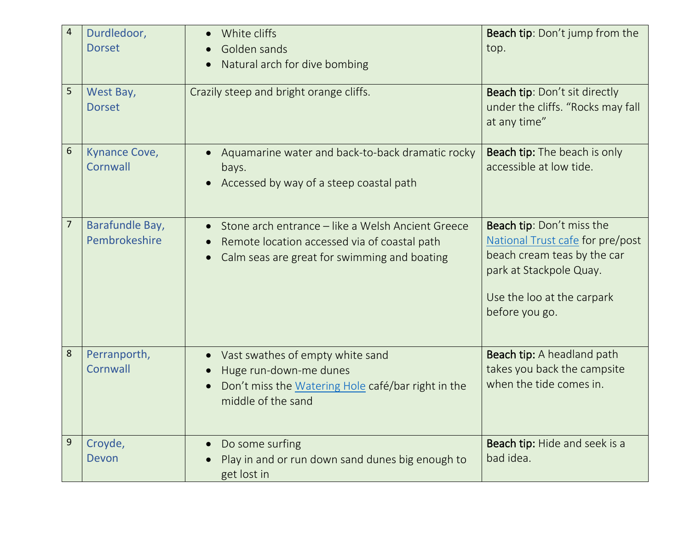| 4              | Durdledoor,<br><b>Dorset</b>     | White cliffs<br>Golden sands<br>Natural arch for dive bombing                                                                                                                 | Beach tip: Don't jump from the<br>top.                                                                                                                                  |
|----------------|----------------------------------|-------------------------------------------------------------------------------------------------------------------------------------------------------------------------------|-------------------------------------------------------------------------------------------------------------------------------------------------------------------------|
| 5              | West Bay,<br><b>Dorset</b>       | Crazily steep and bright orange cliffs.                                                                                                                                       | <b>Beach tip: Don't sit directly</b><br>under the cliffs. "Rocks may fall<br>at any time"                                                                               |
| 6              | Kynance Cove,<br>Cornwall        | Aquamarine water and back-to-back dramatic rocky<br>bays.<br>Accessed by way of a steep coastal path                                                                          | <b>Beach tip:</b> The beach is only<br>accessible at low tide.                                                                                                          |
| $\overline{7}$ | Barafundle Bay,<br>Pembrokeshire | • Stone arch entrance – like a Welsh Ancient Greece<br>Remote location accessed via of coastal path<br>Calm seas are great for swimming and boating                           | Beach tip: Don't miss the<br>National Trust cafe for pre/post<br>beach cream teas by the car<br>park at Stackpole Quay.<br>Use the loo at the carpark<br>before you go. |
| 8              | Perranporth,<br>Cornwall         | Vast swathes of empty white sand<br>$\bullet$<br>Huge run-down-me dunes<br>$\bullet$<br>Don't miss the Watering Hole café/bar right in the<br>$\bullet$<br>middle of the sand | <b>Beach tip:</b> A headland path<br>takes you back the campsite<br>when the tide comes in.                                                                             |
| 9              | Croyde,<br>Devon                 | Do some surfing<br>Play in and or run down sand dunes big enough to<br>get lost in                                                                                            | Beach tip: Hide and seek is a<br>bad idea.                                                                                                                              |